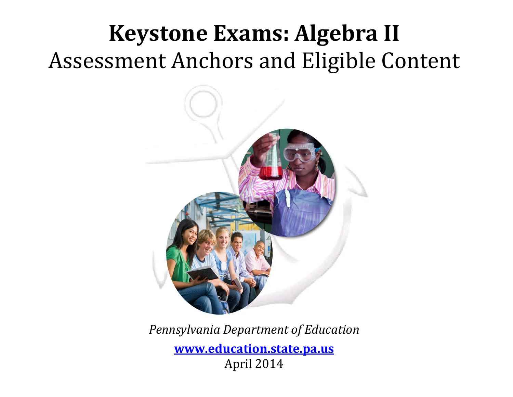# **Keystone Exams: Algebra II** Assessment Anchors and Eligible Content



*Pennsylvania Department of Education* **[www.education.state.pa.us](http://www.education.state.pa.us/)** April 2014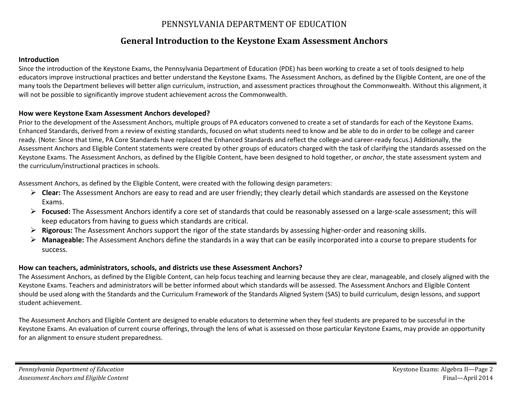#### PENNSYLVANIA DEPARTMENT OF EDUCATION

### **General Introduction to the Keystone Exam Assessment Anchors**

#### **Introduction**

Since the introduction of the Keystone Exams, the Pennsylvania Department of Education (PDE) has been working to create a set of tools designed to help educators improve instructional practices and better understand the Keystone Exams. The Assessment Anchors, as defined by the Eligible Content, are one of the many tools the Department believes will better align curriculum, instruction, and assessment practices throughout the Commonwealth. Without this alignment, it will not be possible to significantly improve student achievement across the Commonwealth.

#### **How were Keystone Exam Assessment Anchors developed?**

Prior to the development of the Assessment Anchors, multiple groups of PA educators convened to create a set of standards for each of the Keystone Exams. Enhanced Standards, derived from a review of existing standards, focused on what students need to know and be able to do in order to be college and career ready. (Note: Since that time, PA Core Standards have replaced the Enhanced Standards and reflect the college-and career-ready focus.) Additionally, the Assessment Anchors and Eligible Content statements were created by other groups of educators charged with the task of clarifying the standards assessed on the Keystone Exams. The Assessment Anchors, as defined by the Eligible Content, have been designed to hold together, or *anchor*, the state assessment system and the curriculum/instructional practices in schools.

Assessment Anchors, as defined by the Eligible Content, were created with the following design parameters:

- **Clear:** The Assessment Anchors are easy to read and are user friendly; they clearly detail which standards are assessed on the Keystone Exams.
- **Focused:** The Assessment Anchors identify a core set of standards that could be reasonably assessed on a large-scale assessment; this will keep educators from having to guess which standards are critical.
- **Rigorous:** The Assessment Anchors support the rigor of the state standards by assessing higher-order and reasoning skills.
- **Manageable:** The Assessment Anchors define the standards in a way that can be easily incorporated into a course to prepare students for success.

#### **How can teachers, administrators, schools, and districts use these Assessment Anchors?**

The Assessment Anchors, as defined by the Eligible Content, can help focus teaching and learning because they are clear, manageable, and closely aligned with the Keystone Exams. Teachers and administrators will be better informed about which standards will be assessed. The Assessment Anchors and Eligible Content should be used along with the Standards and the Curriculum Framework of the Standards Aligned System (SAS) to build curriculum, design lessons, and support student achievement.

The Assessment Anchors and Eligible Content are designed to enable educators to determine when they feel students are prepared to be successful in the Keystone Exams. An evaluation of current course offerings, through the lens of what is assessed on those particular Keystone Exams, may provide an opportunity for an alignment to ensure student preparedness.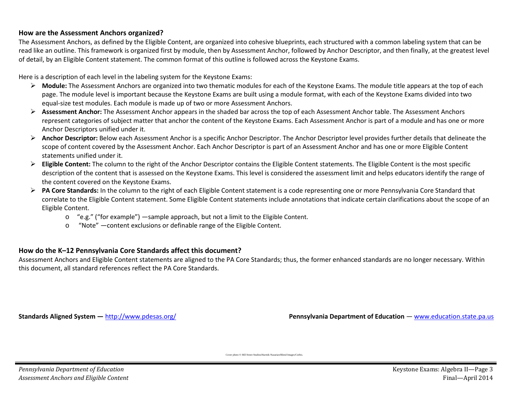#### **How are the Assessment Anchors organized?**

The Assessment Anchors, as defined by the Eligible Content, are organized into cohesive blueprints, each structured with a common labeling system that can be read like an outline. This framework is organized first by module, then by Assessment Anchor, followed by Anchor Descriptor, and then finally, at the greatest level of detail, by an Eligible Content statement. The common format of this outline is followed across the Keystone Exams.

Here is a description of each level in the labeling system for the Keystone Exams:

- **Module:** The Assessment Anchors are organized into two thematic modules for each of the Keystone Exams. The module title appears at the top of each page. The module level is important because the Keystone Exams are built using a module format, with each of the Keystone Exams divided into two equal-size test modules. Each module is made up of two or more Assessment Anchors.
- **Assessment Anchor:** The Assessment Anchor appears in the shaded bar across the top of each Assessment Anchor table. The Assessment Anchors represent categories of subject matter that anchor the content of the Keystone Exams. Each Assessment Anchor is part of a module and has one or more Anchor Descriptors unified under it.
- **Anchor Descriptor:** Below each Assessment Anchor is a specific Anchor Descriptor. The Anchor Descriptor level provides further details that delineate the scope of content covered by the Assessment Anchor. Each Anchor Descriptor is part of an Assessment Anchor and has one or more Eligible Content statements unified under it.
- **Eligible Content:** The column to the right of the Anchor Descriptor contains the Eligible Content statements. The Eligible Content is the most specific description of the content that is assessed on the Keystone Exams. This level is considered the assessment limit and helps educators identify the range of the content covered on the Keystone Exams.
- **PA Core Standards:** In the column to the right of each Eligible Content statement is a code representing one or more Pennsylvania Core Standard that correlate to the Eligible Content statement. Some Eligible Content statements include annotations that indicate certain clarifications about the scope of an Eligible Content.
	- $\circ$  "e.g." ("for example") —sample approach, but not a limit to the Eligible Content.
	- o "Note" —content exclusions or definable range of the Eligible Content.

#### **How do the K–12 Pennsylvania Core Standards affect this document?**

Assessment Anchors and Eligible Content statements are aligned to the PA Core Standards; thus, the former enhanced standards are no longer necessary. Within this document, all standard references reflect the PA Core Standards.

**Standards Aligned System —** <http://www.pdesas.org/> **Pennsylvania Department of Education** — [www.education.state.pa.us](http://www.education.state.pa.us/)

Cover photo © Hill Street Studios/Harmik Nazarian/Blend Images/Corbis.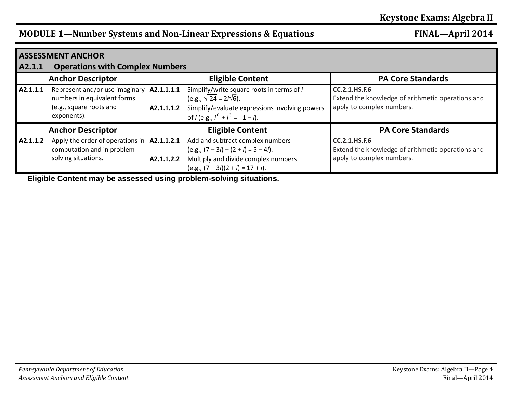| <b>ASSESSMENT ANCHOR</b> |                                                                 |            |                                                                                              |                                                                           |  |  |  |
|--------------------------|-----------------------------------------------------------------|------------|----------------------------------------------------------------------------------------------|---------------------------------------------------------------------------|--|--|--|
| A2.1.1                   | <b>Operations with Complex Numbers</b>                          |            |                                                                                              |                                                                           |  |  |  |
|                          | <b>Anchor Descriptor</b>                                        |            | <b>Eligible Content</b>                                                                      | <b>PA Core Standards</b>                                                  |  |  |  |
| A2.1.1.1                 | Represent and/or use imaginary<br>numbers in equivalent forms   | A2.1.1.1.1 | Simplify/write square roots in terms of i<br>(e.g., $\sqrt{-24}$ = 2 <i>i</i> $\sqrt{6}$ ).  | <b>CC.2.1.HS.F.6</b><br>Extend the knowledge of arithmetic operations and |  |  |  |
|                          | (e.g., square roots and<br>exponents).                          | A2.1.1.1.2 | Simplify/evaluate expressions involving powers<br>of <i>i</i> (e.g., $i^6 + i^3 = -1 - i$ ). | apply to complex numbers.                                                 |  |  |  |
|                          | <b>Anchor Descriptor</b>                                        |            | <b>Eligible Content</b>                                                                      | <b>PA Core Standards</b>                                                  |  |  |  |
| A2.1.1.2                 | Apply the order of operations in<br>computation and in problem- | A2.1.1.2.1 | Add and subtract complex numbers<br>$(e.g., (7-3i) - (2 + i) = 5 - 4i).$                     | <b>CC.2.1.HS.F.6</b><br>Extend the knowledge of arithmetic operations and |  |  |  |
|                          | solving situations.                                             | A2.1.1.2.2 | Multiply and divide complex numbers<br>$(e.g., (7-3i)(2 + i) = 17 + i).$                     | apply to complex numbers.                                                 |  |  |  |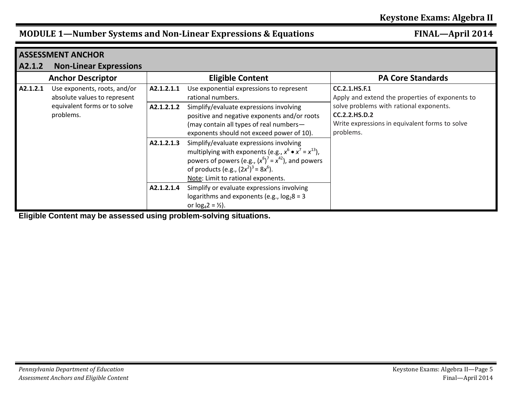|          | <b>ASSESSMENT ANCHOR</b>                                                                                  |                          |                                                                                                                                                                                                                                                                                                      |                                                                                                                                                                                                           |
|----------|-----------------------------------------------------------------------------------------------------------|--------------------------|------------------------------------------------------------------------------------------------------------------------------------------------------------------------------------------------------------------------------------------------------------------------------------------------------|-----------------------------------------------------------------------------------------------------------------------------------------------------------------------------------------------------------|
| A2.1.2   | <b>Non-Linear Expressions</b>                                                                             |                          |                                                                                                                                                                                                                                                                                                      |                                                                                                                                                                                                           |
|          | <b>Anchor Descriptor</b>                                                                                  |                          | <b>Eligible Content</b>                                                                                                                                                                                                                                                                              | <b>PA Core Standards</b>                                                                                                                                                                                  |
| A2.1.2.1 | Use exponents, roots, and/or<br>absolute values to represent<br>equivalent forms or to solve<br>problems. | A2.1.2.1.1<br>A2.1.2.1.2 | Use exponential expressions to represent<br>rational numbers.<br>Simplify/evaluate expressions involving<br>positive and negative exponents and/or roots<br>(may contain all types of real numbers-                                                                                                  | <b>CC.2.1.HS.F.1</b><br>Apply and extend the properties of exponents to<br>solve problems with rational exponents.<br><b>CC.2.2.HS.D.2</b><br>Write expressions in equivalent forms to solve<br>problems. |
|          |                                                                                                           | A2.1.2.1.3               | exponents should not exceed power of 10).<br>Simplify/evaluate expressions involving<br>multiplying with exponents (e.g., $x^6 \bullet x^7 = x^{13}$ ),<br>powers of powers (e.g., $(x^6)^7 = x^{42}$ ), and powers<br>of products (e.g., $(2x^2)^3 = 8x^6$ ).<br>Note: Limit to rational exponents. |                                                                                                                                                                                                           |
|          |                                                                                                           | A2.1.2.1.4               | Simplify or evaluate expressions involving<br>logarithms and exponents (e.g., $log_2 8 = 3$<br>or $log_4 2 = \frac{1}{2}$ .                                                                                                                                                                          |                                                                                                                                                                                                           |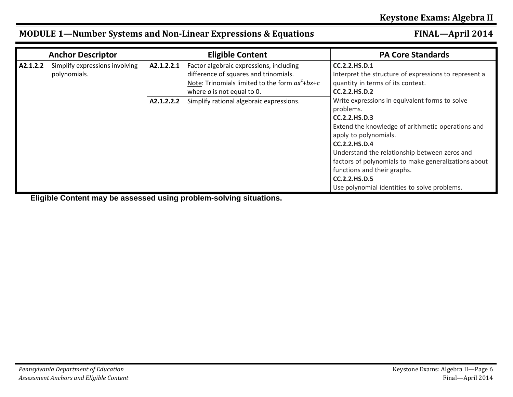|          | <b>Anchor Descriptor</b>                       |            | <b>Eligible Content</b>                                                                                                                                              | <b>PA Core Standards</b>                                                                                                                                                                                                                                                                                                                                                             |
|----------|------------------------------------------------|------------|----------------------------------------------------------------------------------------------------------------------------------------------------------------------|--------------------------------------------------------------------------------------------------------------------------------------------------------------------------------------------------------------------------------------------------------------------------------------------------------------------------------------------------------------------------------------|
| A2.1.2.2 | Simplify expressions involving<br>polynomials. | A2.1.2.2.1 | Factor algebraic expressions, including<br>difference of squares and trinomials.<br>Note: Trinomials limited to the form $ax^2+bx+c$<br>where $a$ is not equal to 0. | CC.2.2.HS.D.1<br>Interpret the structure of expressions to represent a<br>quantity in terms of its context.<br><b>CC.2.2.HS.D.2</b>                                                                                                                                                                                                                                                  |
|          |                                                | A2.1.2.2.2 | Simplify rational algebraic expressions.                                                                                                                             | Write expressions in equivalent forms to solve<br>problems.<br>CC.2.2.HS.D.3<br>Extend the knowledge of arithmetic operations and<br>apply to polynomials.<br>CC.2.2.HS.D.4<br>Understand the relationship between zeros and<br>factors of polynomials to make generalizations about<br>functions and their graphs.<br>CC.2.2.HS.D.5<br>Use polynomial identities to solve problems. |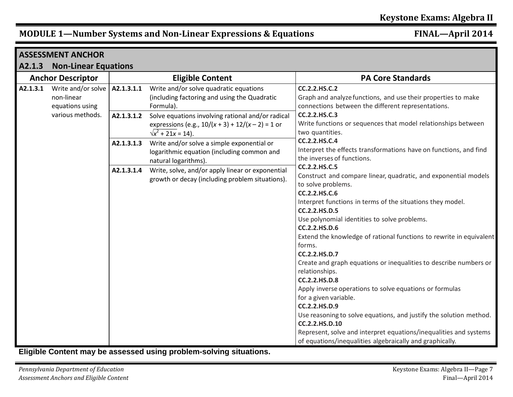|                          | <b>ASSESSMENT ANCHOR</b>                                                |                          |                                                                                                                                                                                                                                               |                                                                                                                                                                                                                                                                                                                                                                                                                                                                                                                                                                                                                                                                                                                                                                                                                                                    |
|--------------------------|-------------------------------------------------------------------------|--------------------------|-----------------------------------------------------------------------------------------------------------------------------------------------------------------------------------------------------------------------------------------------|----------------------------------------------------------------------------------------------------------------------------------------------------------------------------------------------------------------------------------------------------------------------------------------------------------------------------------------------------------------------------------------------------------------------------------------------------------------------------------------------------------------------------------------------------------------------------------------------------------------------------------------------------------------------------------------------------------------------------------------------------------------------------------------------------------------------------------------------------|
| A2.1.3                   | <b>Non-Linear Equations</b>                                             |                          |                                                                                                                                                                                                                                               |                                                                                                                                                                                                                                                                                                                                                                                                                                                                                                                                                                                                                                                                                                                                                                                                                                                    |
| <b>Anchor Descriptor</b> |                                                                         |                          | <b>Eligible Content</b>                                                                                                                                                                                                                       | <b>PA Core Standards</b>                                                                                                                                                                                                                                                                                                                                                                                                                                                                                                                                                                                                                                                                                                                                                                                                                           |
| A2.1.3.1                 | Write and/or solve<br>non-linear<br>equations using<br>various methods. | A2.1.3.1.1<br>A2.1.3.1.2 | Write and/or solve quadratic equations<br>(including factoring and using the Quadratic<br>Formula).<br>Solve equations involving rational and/or radical<br>expressions (e.g., $10/(x + 3) + 12/(x - 2) = 1$ or<br>$\sqrt{x^2 + 21x} = 14$ ). | <b>CC.2.2.HS.C.2</b><br>Graph and analyze functions, and use their properties to make<br>connections between the different representations.<br>CC.2.2.HS.C.3<br>Write functions or sequences that model relationships between<br>two quantities.                                                                                                                                                                                                                                                                                                                                                                                                                                                                                                                                                                                                   |
|                          |                                                                         | A2.1.3.1.3               | Write and/or solve a simple exponential or<br>logarithmic equation (including common and<br>natural logarithms).                                                                                                                              | <b>CC.2.2.HS.C.4</b><br>Interpret the effects transformations have on functions, and find<br>the inverses of functions.                                                                                                                                                                                                                                                                                                                                                                                                                                                                                                                                                                                                                                                                                                                            |
|                          |                                                                         | A2.1.3.1.4               | Write, solve, and/or apply linear or exponential<br>growth or decay (including problem situations).                                                                                                                                           | CC.2.2.HS.C.5<br>Construct and compare linear, quadratic, and exponential models<br>to solve problems.<br><b>CC.2.2.HS.C.6</b><br>Interpret functions in terms of the situations they model.<br><b>CC.2.2.HS.D.5</b><br>Use polynomial identities to solve problems.<br><b>CC.2.2.HS.D.6</b><br>Extend the knowledge of rational functions to rewrite in equivalent<br>forms.<br>CC.2.2.HS.D.7<br>Create and graph equations or inequalities to describe numbers or<br>relationships.<br><b>CC.2.2.HS.D.8</b><br>Apply inverse operations to solve equations or formulas<br>for a given variable.<br><b>CC.2.2.HS.D.9</b><br>Use reasoning to solve equations, and justify the solution method.<br>CC.2.2.HS.D.10<br>Represent, solve and interpret equations/inequalities and systems<br>of equations/inequalities algebraically and graphically. |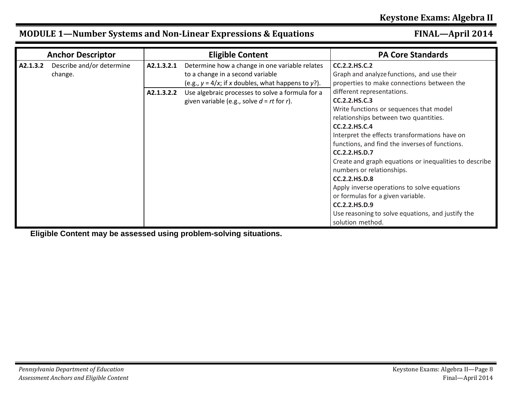|          | <b>Anchor Descriptor</b>             |            | <b>Eligible Content</b>                                                                                                                     | <b>PA Core Standards</b>                                                                                                                                                                                                                                                                                                                                                                                                                                                                                                                                                        |
|----------|--------------------------------------|------------|---------------------------------------------------------------------------------------------------------------------------------------------|---------------------------------------------------------------------------------------------------------------------------------------------------------------------------------------------------------------------------------------------------------------------------------------------------------------------------------------------------------------------------------------------------------------------------------------------------------------------------------------------------------------------------------------------------------------------------------|
| A2.1.3.2 | Describe and/or determine<br>change. | A2.1.3.2.1 | Determine how a change in one variable relates<br>to a change in a second variable<br>(e.g., $y = 4/x$ ; if x doubles, what happens to y?). | <b>CC.2.2.HS.C.2</b><br>Graph and analyze functions, and use their<br>properties to make connections between the                                                                                                                                                                                                                                                                                                                                                                                                                                                                |
|          |                                      | A2.1.3.2.2 | Use algebraic processes to solve a formula for a<br>given variable (e.g., solve $d = rt$ for r).                                            | different representations.<br>CC.2.2.HS.C.3<br>Write functions or sequences that model<br>relationships between two quantities.<br>CC.2.2.HS.C.4<br>Interpret the effects transformations have on<br>functions, and find the inverses of functions.<br><b>CC.2.2.HS.D.7</b><br>Create and graph equations or inequalities to describe<br>numbers or relationships.<br><b>CC.2.2.HS.D.8</b><br>Apply inverse operations to solve equations<br>or formulas for a given variable.<br><b>CC.2.2.HS.D.9</b><br>Use reasoning to solve equations, and justify the<br>solution method. |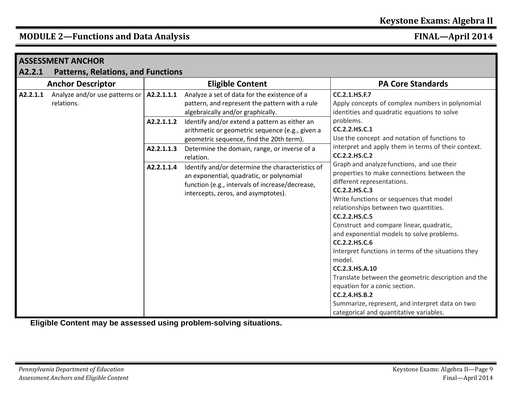|          | <b>ASSESSMENT ANCHOR</b>                     |                                           |                                                                                                                                                                                        |                                                                                                                                                                                                                                                                                                                                                                                                                                                                                                                                                                                                                                                         |  |  |
|----------|----------------------------------------------|-------------------------------------------|----------------------------------------------------------------------------------------------------------------------------------------------------------------------------------------|---------------------------------------------------------------------------------------------------------------------------------------------------------------------------------------------------------------------------------------------------------------------------------------------------------------------------------------------------------------------------------------------------------------------------------------------------------------------------------------------------------------------------------------------------------------------------------------------------------------------------------------------------------|--|--|
| A2.2.1   |                                              | <b>Patterns, Relations, and Functions</b> |                                                                                                                                                                                        |                                                                                                                                                                                                                                                                                                                                                                                                                                                                                                                                                                                                                                                         |  |  |
|          | <b>Anchor Descriptor</b>                     | <b>Eligible Content</b>                   |                                                                                                                                                                                        | <b>PA Core Standards</b>                                                                                                                                                                                                                                                                                                                                                                                                                                                                                                                                                                                                                                |  |  |
| A2.2.1.1 | Analyze and/or use patterns or<br>relations. | A2.2.1.1.1                                | Analyze a set of data for the existence of a<br>pattern, and represent the pattern with a rule<br>algebraically and/or graphically.                                                    | <b>CC.2.1.HS.F.7</b><br>Apply concepts of complex numbers in polynomial<br>identities and quadratic equations to solve                                                                                                                                                                                                                                                                                                                                                                                                                                                                                                                                  |  |  |
|          |                                              | A2.2.1.1.2                                | Identify and/or extend a pattern as either an<br>arithmetic or geometric sequence (e.g., given a<br>geometric sequence, find the 20th term).                                           | problems.<br>CC.2.2.HS.C.1<br>Use the concept and notation of functions to                                                                                                                                                                                                                                                                                                                                                                                                                                                                                                                                                                              |  |  |
|          |                                              | A2.2.1.1.3                                | Determine the domain, range, or inverse of a<br>relation.                                                                                                                              | interpret and apply them in terms of their context.<br><b>CC.2.2.HS.C.2</b>                                                                                                                                                                                                                                                                                                                                                                                                                                                                                                                                                                             |  |  |
|          |                                              | A2.2.1.1.4                                | Identify and/or determine the characteristics of<br>an exponential, quadratic, or polynomial<br>function (e.g., intervals of increase/decrease,<br>intercepts, zeros, and asymptotes). | Graph and analyze functions, and use their<br>properties to make connections between the<br>different representations.<br>CC.2.2.HS.C.3<br>Write functions or sequences that model<br>relationships between two quantities.<br>CC.2.2.HS.C.5<br>Construct and compare linear, quadratic,<br>and exponential models to solve problems.<br>CC.2.2.HS.C.6<br>Interpret functions in terms of the situations they<br>model.<br>CC.2.3.HS.A.10<br>Translate between the geometric description and the<br>equation for a conic section.<br><b>CC.2.4.HS.B.2</b><br>Summarize, represent, and interpret data on two<br>categorical and quantitative variables. |  |  |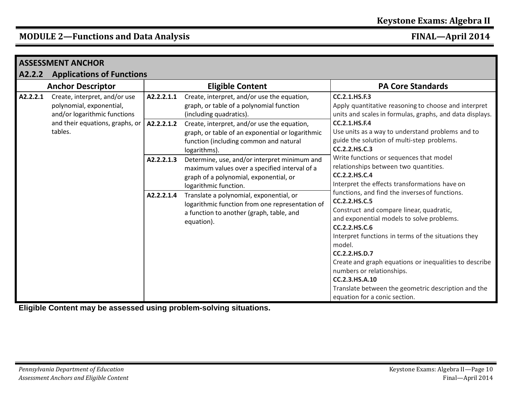|          | <b>ASSESSMENT ANCHOR</b>                                                                                                                |            |                                                                                                                                                                  |                                                                                                                                                                                                                                                                                                                                                                                                                                                              |  |  |  |
|----------|-----------------------------------------------------------------------------------------------------------------------------------------|------------|------------------------------------------------------------------------------------------------------------------------------------------------------------------|--------------------------------------------------------------------------------------------------------------------------------------------------------------------------------------------------------------------------------------------------------------------------------------------------------------------------------------------------------------------------------------------------------------------------------------------------------------|--|--|--|
| A2.2.2   | <b>Applications of Functions</b>                                                                                                        |            |                                                                                                                                                                  |                                                                                                                                                                                                                                                                                                                                                                                                                                                              |  |  |  |
|          | <b>Anchor Descriptor</b>                                                                                                                |            | <b>Eligible Content</b>                                                                                                                                          | <b>PA Core Standards</b>                                                                                                                                                                                                                                                                                                                                                                                                                                     |  |  |  |
| A2.2.2.1 | Create, interpret, and/or use<br>polynomial, exponential,<br>and/or logarithmic functions<br>and their equations, graphs, or<br>tables. | A2.2.2.1.1 | Create, interpret, and/or use the equation,<br>graph, or table of a polynomial function<br>(including quadratics).                                               | <b>CC.2.1.HS.F.3</b><br>Apply quantitative reasoning to choose and interpret<br>units and scales in formulas, graphs, and data displays.                                                                                                                                                                                                                                                                                                                     |  |  |  |
|          |                                                                                                                                         | A2.2.2.1.2 | Create, interpret, and/or use the equation,<br>graph, or table of an exponential or logarithmic<br>function (including common and natural<br>logarithms).        | <b>CC.2.1.HS.F.4</b><br>Use units as a way to understand problems and to<br>guide the solution of multi-step problems.<br>CC.2.2.HS.C.3                                                                                                                                                                                                                                                                                                                      |  |  |  |
|          |                                                                                                                                         | A2.2.2.1.3 | Determine, use, and/or interpret minimum and<br>maximum values over a specified interval of a<br>graph of a polynomial, exponential, or<br>logarithmic function. | Write functions or sequences that model<br>relationships between two quantities.<br>CC.2.2.HS.C.4<br>Interpret the effects transformations have on                                                                                                                                                                                                                                                                                                           |  |  |  |
|          |                                                                                                                                         | A2.2.2.1.4 | Translate a polynomial, exponential, or<br>logarithmic function from one representation of<br>a function to another (graph, table, and<br>equation).             | functions, and find the inverses of functions.<br>CC.2.2.HS.C.5<br>Construct and compare linear, quadratic,<br>and exponential models to solve problems.<br>CC.2.2.HS.C.6<br>Interpret functions in terms of the situations they<br>model.<br>CC.2.2.HS.D.7<br>Create and graph equations or inequalities to describe<br>numbers or relationships.<br>CC.2.3.HS.A.10<br>Translate between the geometric description and the<br>equation for a conic section. |  |  |  |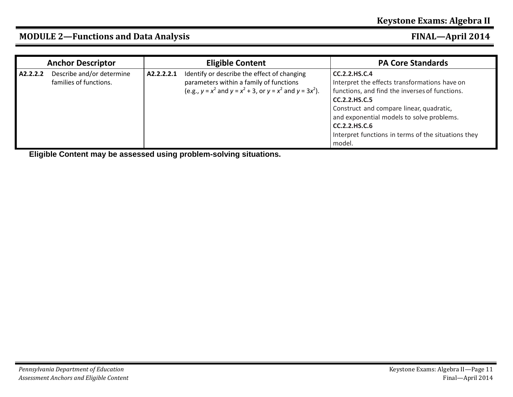|          | <b>Anchor Descriptor</b>                            |            | <b>Eligible Content</b>                                                                                                                                       | <b>PA Core Standards</b>                                                                                                                                                                                                                                                                                                   |
|----------|-----------------------------------------------------|------------|---------------------------------------------------------------------------------------------------------------------------------------------------------------|----------------------------------------------------------------------------------------------------------------------------------------------------------------------------------------------------------------------------------------------------------------------------------------------------------------------------|
| A2.2.2.2 | Describe and/or determine<br>families of functions. | A2.2.2.2.1 | Identify or describe the effect of changing<br>parameters within a family of functions<br>(e.g., $y = x^2$ and $y = x^2 + 3$ , or $y = x^2$ and $y = 3x^2$ ). | CC.2.2.HS.C.4<br>Interpret the effects transformations have on<br>functions, and find the inverses of functions.<br><b>CC.2.2.HS.C.5</b><br>Construct and compare linear, quadratic,<br>and exponential models to solve problems.<br><b>CC.2.2.HS.C.6</b><br>Interpret functions in terms of the situations they<br>model. |